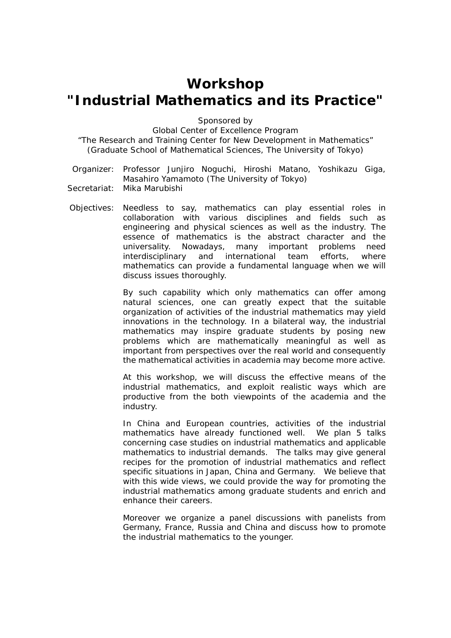# **Workshop "Industrial Mathematics and its Practice"**

Sponsored by

Global Center of Excellence Program

"The Research and Training Center for New Development in Mathematics" (Graduate School of Mathematical Sciences, The University of Tokyo)

Organizer: Professor Junjiro Noguchi, Hiroshi Matano, Yoshikazu Giga, Masahiro Yamamoto (The University of Tokyo)

Secretariat: Mika Marubishi

Objectives: Needless to say, mathematics can play essential roles in collaboration with various disciplines and fields such as engineering and physical sciences as well as the industry. The essence of mathematics is the abstract character and the universality. Nowadays, many important problems need interdisciplinary and international team efforts, where mathematics can provide a fundamental language when we will discuss issues thoroughly.

> By such capability which only mathematics can offer among natural sciences, one can greatly expect that the suitable organization of activities of the industrial mathematics may yield innovations in the technology. In a bilateral way, the industrial mathematics may inspire graduate students by posing new problems which are mathematically meaningful as well as important from perspectives over the real world and consequently the mathematical activities in academia may become more active.

> At this workshop, we will discuss the effective means of the industrial mathematics, and exploit realistic ways which are productive from the both viewpoints of the academia and the industry.

> In China and European countries, activities of the industrial mathematics have already functioned well. We plan 5 talks concerning case studies on industrial mathematics and applicable mathematics to industrial demands. The talks may give general recipes for the promotion of industrial mathematics and reflect specific situations in Japan, China and Germany. We believe that with this wide views, we could provide the way for promoting the industrial mathematics among graduate students and enrich and enhance their careers.

> Moreover we organize a panel discussions with panelists from Germany, France, Russia and China and discuss how to promote the industrial mathematics to the younger.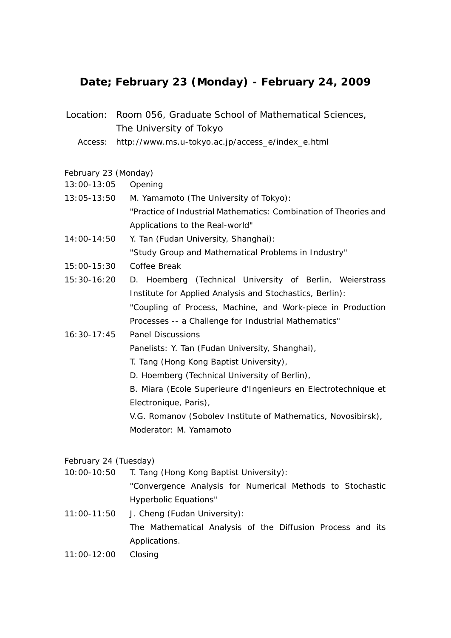# **Date; February 23 (Monday) - February 24, 2009**

- Location: Room 056, Graduate School of Mathematical Sciences, The University of Tokyo
	- Access: http://www.ms.u-tokyo.ac.jp/access\_e/index\_e.html

### February 23 (Monday)

- 13:00-13:05 Opening
- 13:05-13:50 M. Yamamoto (The University of Tokyo): "Practice of Industrial Mathematics: Combination of Theories and Applications to the Real-world"
- 14:00-14:50 Y. Tan (Fudan University, Shanghai): "Study Group and Mathematical Problems in Industry"
- 15:00-15:30 Coffee Break
- 15:30-16:20 D. Hoemberg (Technical University of Berlin, Weierstrass Institute for Applied Analysis and Stochastics, Berlin): "Coupling of Process, Machine, and Work-piece in Production Processes -- a Challenge for Industrial Mathematics"
- 16:30-17:45 Panel Discussions

Panelists: Y. Tan (Fudan University, Shanghai),

- T. Tang (Hong Kong Baptist University),
- D. Hoemberg (Technical University of Berlin),

B. Miara (Ecole Superieure d'Ingenieurs en Electrotechnique et Electronique, Paris),

V.G. Romanov (Sobolev Institute of Mathematics, Novosibirsk), Moderator: M. Yamamoto

## February 24 (Tuesday)

- 10:00-10:50 T. Tang (Hong Kong Baptist University): "Convergence Analysis for Numerical Methods to Stochastic Hyperbolic Equations"
- 11:00-11:50 J. Cheng (Fudan University): The Mathematical Analysis of the Diffusion Process and its Applications.
- 11:00-12:00 Closing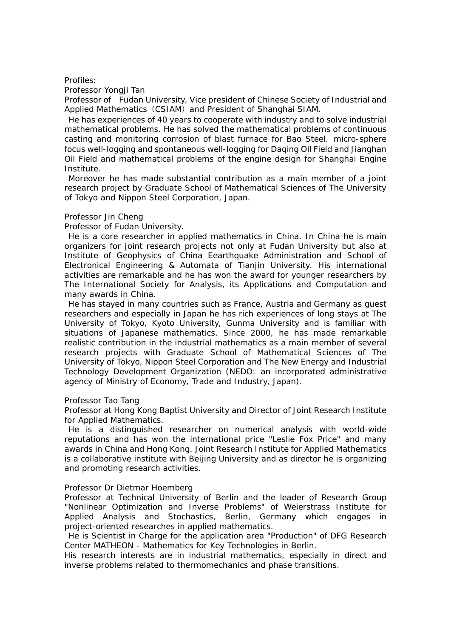#### Profiles:

Professor Yongii Tan

Professor of Fudan University, Vice president of Chinese Society of Industrial and Applied Mathematics (CSIAM) and President of Shanghai SIAM.

He has experiences of 40 years to cooperate with industry and to solve industrial mathematical problems. He has solved the mathematical problems of continuous casting and monitoring corrosion of blast furnace for Bao Steel, micro-sphere focus well-logging and spontaneous well-logging for Daqing Oil Field and Jianghan Oil Field and mathematical problems of the engine design for Shanghai Engine Institute.

Moreover he has made substantial contribution as a main member of a joint research project by Graduate School of Mathematical Sciences of The University of Tokyo and Nippon Steel Corporation, Japan.

#### Professor Jin Cheng

Professor of Fudan University.

He is a core researcher in applied mathematics in China. In China he is main organizers for joint research projects not only at Fudan University but also at Institute of Geophysics of China Eearthquake Administration and School of Electronical Engineering & Automata of Tianjin University. His international activities are remarkable and he has won the award for younger researchers by The International Society for Analysis, its Applications and Computation and many awards in China.

He has stayed in many countries such as France, Austria and Germany as guest researchers and especially in Japan he has rich experiences of long stays at The University of Tokyo, Kyoto University, Gunma University and is familiar with situations of Japanese mathematics. Since 2000, he has made remarkable realistic contribution in the industrial mathematics as a main member of several research projects with Graduate School of Mathematical Sciences of The University of Tokyo, Nippon Steel Corporation and The New Energy and Industrial Technology Development Organization (NEDO: an incorporated administrative agency of Ministry of Economy, Trade and Industry, Japan).

#### Professor Tao Tang

Professor at Hong Kong Baptist University and Director of Joint Research Institute for Applied Mathematics.

He is a distinguished researcher on numerical analysis with world-wide reputations and has won the international price "Leslie Fox Price" and many awards in China and Hong Kong. Joint Research Institute for Applied Mathematics is a collaborative institute with Beijing University and as director he is organizing and promoting research activities.

#### Professor Dr Dietmar Hoemberg

Professor at Technical University of Berlin and the leader of Research Group "Nonlinear Optimization and Inverse Problems" of Weierstrass Institute for Applied Analysis and Stochastics, Berlin, Germany which engages in project-oriented researches in applied mathematics.

He is Scientist in Charge for the application area "Production" of DFG Research Center MATHEON - Mathematics for Key Technologies in Berlin.

His research interests are in industrial mathematics, especially in direct and inverse problems related to thermomechanics and phase transitions.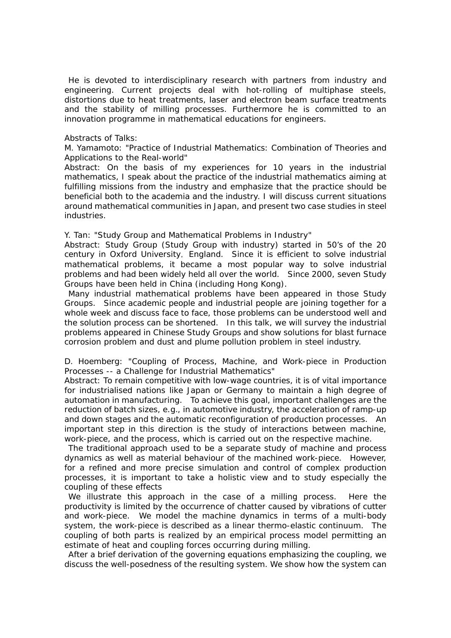He is devoted to interdisciplinary research with partners from industry and engineering. Current projects deal with hot-rolling of multiphase steels, distortions due to heat treatments, laser and electron beam surface treatments and the stability of milling processes. Furthermore he is committed to an innovation programme in mathematical educations for engineers.

#### Abstracts of Talks:

M. Yamamoto: "Practice of Industrial Mathematics: Combination of Theories and Applications to the Real-world"

Abstract: On the basis of my experiences for 10 years in the industrial mathematics, I speak about the practice of the industrial mathematics aiming at fulfilling missions from the industry and emphasize that the practice should be beneficial both to the academia and the industry. I will discuss current situations around mathematical communities in Japan, and present two case studies in steel industries.

Y. Tan: "Study Group and Mathematical Problems in Industry"

Abstract: Study Group (Study Group with industry) started in 50's of the 20 century in Oxford University, England. Since it is efficient to solve industrial mathematical problems, it became a most popular way to solve industrial problems and had been widely held all over the world. Since 2000, seven Study Groups have been held in China (including Hong Kong).

Many industrial mathematical problems have been appeared in those Study Groups. Since academic people and industrial people are joining together for a whole week and discuss face to face, those problems can be understood well and the solution process can be shortened. In this talk, we will survey the industrial problems appeared in Chinese Study Groups and show solutions for blast furnace corrosion problem and dust and plume pollution problem in steel industry.

D. Hoemberg: "Coupling of Process, Machine, and Work-piece in Production Processes -- a Challenge for Industrial Mathematics"

Abstract: To remain competitive with low-wage countries, it is of vital importance for industrialised nations like Japan or Germany to maintain a high degree of automation in manufacturing. To achieve this goal, important challenges are the reduction of batch sizes, e.g., in automotive industry, the acceleration of ramp-up and down stages and the automatic reconfiguration of production processes. An important step in this direction is the study of interactions between machine, work-piece, and the process, which is carried out on the respective machine.

The traditional approach used to be a separate study of machine and process dynamics as well as material behaviour of the machined work-piece. However, for a refined and more precise simulation and control of complex production processes, it is important to take a holistic view and to study especially the coupling of these effects

We illustrate this approach in the case of a milling process. Here the productivity is limited by the occurrence of chatter caused by vibrations of cutter and work-piece. We model the machine dynamics in terms of a multi-body system, the work-piece is described as a linear thermo-elastic continuum. The coupling of both parts is realized by an empirical process model permitting an estimate of heat and coupling forces occurring during milling.

 After a brief derivation of the governing equations emphasizing the coupling, we discuss the well-posedness of the resulting system. We show how the system can